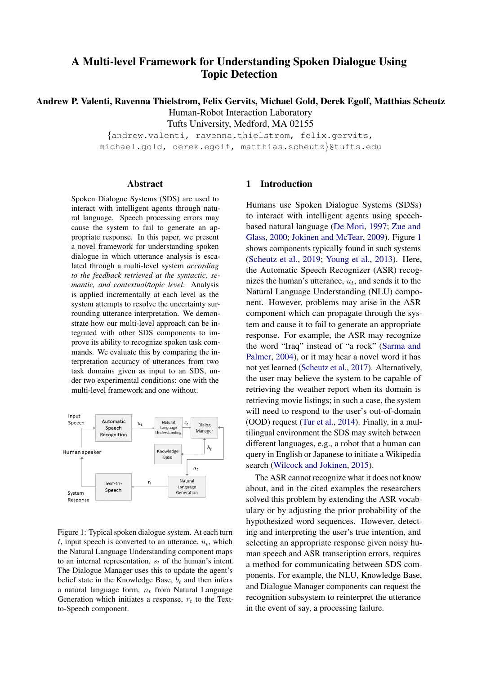# A Multi-level Framework for Understanding Spoken Dialogue Using Topic Detection

Andrew P. Valenti, Ravenna Thielstrom, Felix Gervits, Michael Gold, Derek Egolf, Matthias Scheutz Human-Robot Interaction Laboratory

Tufts University, Medford, MA 02155

{andrew.valenti, ravenna.thielstrom, felix.gervits, michael.gold, derek.egolf, matthias.scheutz}@tufts.edu

### Abstract

Spoken Dialogue Systems (SDS) are used to interact with intelligent agents through natural language. Speech processing errors may cause the system to fail to generate an appropriate response. In this paper, we present a novel framework for understanding spoken dialogue in which utterance analysis is escalated through a multi-level system *according to the feedback retrieved at the syntactic, semantic, and contextual/topic level*. Analysis is applied incrementally at each level as the system attempts to resolve the uncertainty surrounding utterance interpretation. We demonstrate how our multi-level approach can be integrated with other SDS components to improve its ability to recognize spoken task commands. We evaluate this by comparing the interpretation accuracy of utterances from two task domains given as input to an SDS, under two experimental conditions: one with the multi-level framework and one without.

<span id="page-0-0"></span>

Figure 1: Typical spoken dialogue system. At each turn t, input speech is converted to an utterance,  $u_t$ , which the Natural Language Understanding component maps to an internal representation,  $s_t$  of the human's intent. The Dialogue Manager uses this to update the agent's belief state in the Knowledge Base,  $b_t$  and then infers a natural language form,  $n_t$  from Natural Language Generation which initiates a response,  $r_t$  to the Textto-Speech component.

### 1 Introduction

Humans use Spoken Dialogue Systems (SDSs) to interact with intelligent agents using speechbased natural language [\(De Mori,](#page-8-0) [1997;](#page-8-0) [Zue and](#page-9-0) [Glass,](#page-9-0) [2000;](#page-9-0) [Jokinen and McTear,](#page-9-1) [2009\)](#page-9-1). Figure [1](#page-0-0) shows components typically found in such systems [\(Scheutz et al.,](#page-9-2) [2019;](#page-9-2) [Young et al.,](#page-9-3) [2013\)](#page-9-3). Here, the Automatic Speech Recognizer (ASR) recognizes the human's utterance,  $u_t$ , and sends it to the Natural Language Understanding (NLU) component. However, problems may arise in the ASR component which can propagate through the system and cause it to fail to generate an appropriate response. For example, the ASR may recognize the word "Iraq" instead of "a rock" [\(Sarma and](#page-9-4) [Palmer,](#page-9-4) [2004\)](#page-9-4), or it may hear a novel word it has not yet learned [\(Scheutz et al.,](#page-9-5) [2017\)](#page-9-5). Alternatively, the user may believe the system to be capable of retrieving the weather report when its domain is retrieving movie listings; in such a case, the system will need to respond to the user's out-of-domain (OOD) request [\(Tur et al.,](#page-9-6) [2014\)](#page-9-6). Finally, in a multilingual environment the SDS may switch between different languages, e.g., a robot that a human can query in English or Japanese to initiate a Wikipedia search [\(Wilcock and Jokinen,](#page-9-7) [2015\)](#page-9-7).

The ASR cannot recognize what it does not know about, and in the cited examples the researchers solved this problem by extending the ASR vocabulary or by adjusting the prior probability of the hypothesized word sequences. However, detecting and interpreting the user's true intention, and selecting an appropriate response given noisy human speech and ASR transcription errors, requires a method for communicating between SDS components. For example, the NLU, Knowledge Base, and Dialogue Manager components can request the recognition subsystem to reinterpret the utterance in the event of say, a processing failure.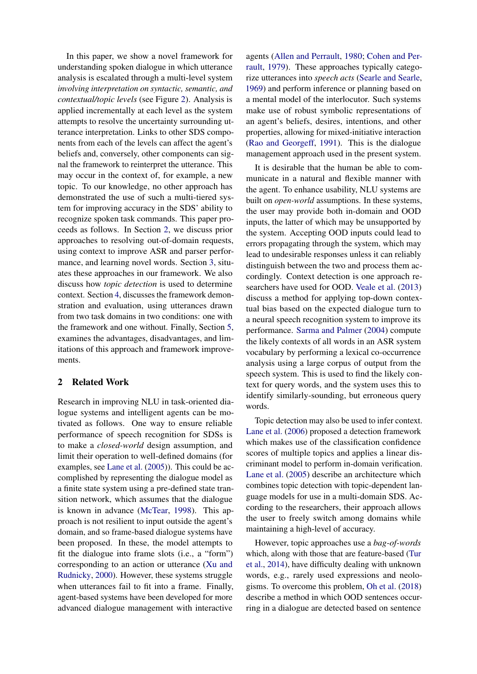In this paper, we show a novel framework for understanding spoken dialogue in which utterance analysis is escalated through a multi-level system *involving interpretation on syntactic, semantic, and contextual/topic levels* (see Figure [2\)](#page-2-0). Analysis is applied incrementally at each level as the system attempts to resolve the uncertainty surrounding utterance interpretation. Links to other SDS components from each of the levels can affect the agent's beliefs and, conversely, other components can signal the framework to reinterpret the utterance. This may occur in the context of, for example, a new topic. To our knowledge, no other approach has demonstrated the use of such a multi-tiered system for improving accuracy in the SDS' ability to recognize spoken task commands. This paper proceeds as follows. In Section [2,](#page-1-0) we discuss prior approaches to resolving out-of-domain requests, using context to improve ASR and parser performance, and learning novel words. Section [3,](#page-3-0) situates these approaches in our framework. We also discuss how *topic detection* is used to determine context. Section [4,](#page-5-0) discusses the framework demonstration and evaluation, using utterances drawn from two task domains in two conditions: one with the framework and one without. Finally, Section [5,](#page-7-0) examines the advantages, disadvantages, and limitations of this approach and framework improvements.

# <span id="page-1-0"></span>2 Related Work

Research in improving NLU in task-oriented dialogue systems and intelligent agents can be motivated as follows. One way to ensure reliable performance of speech recognition for SDSs is to make a *closed-world* design assumption, and limit their operation to well-defined domains (for examples, see [Lane et al.](#page-9-8) [\(2005\)](#page-9-8)). This could be accomplished by representing the dialogue model as a finite state system using a pre-defined state transition network, which assumes that the dialogue is known in advance [\(McTear,](#page-9-9) [1998\)](#page-9-9). This approach is not resilient to input outside the agent's domain, and so frame-based dialogue systems have been proposed. In these, the model attempts to fit the dialogue into frame slots (i.e., a "form") corresponding to an action or utterance [\(Xu and](#page-9-10) [Rudnicky,](#page-9-10) [2000\)](#page-9-10). However, these systems struggle when utterances fail to fit into a frame. Finally, agent-based systems have been developed for more advanced dialogue management with interactive

agents [\(Allen and Perrault,](#page-8-1) [1980;](#page-8-1) [Cohen and Per](#page-8-2)[rault,](#page-8-2) [1979\)](#page-8-2). These approaches typically categorize utterances into *speech acts* [\(Searle and Searle,](#page-9-11) [1969\)](#page-9-11) and perform inference or planning based on a mental model of the interlocutor. Such systems make use of robust symbolic representations of an agent's beliefs, desires, intentions, and other properties, allowing for mixed-initiative interaction [\(Rao and Georgeff,](#page-9-12) [1991\)](#page-9-12). This is the dialogue management approach used in the present system.

It is desirable that the human be able to communicate in a natural and flexible manner with the agent. To enhance usability, NLU systems are built on *open-world* assumptions. In these systems, the user may provide both in-domain and OOD inputs, the latter of which may be unsupported by the system. Accepting OOD inputs could lead to errors propagating through the system, which may lead to undesirable responses unless it can reliably distinguish between the two and process them accordingly. Context detection is one approach researchers have used for OOD. [Veale et al.](#page-9-13) [\(2013\)](#page-9-13) discuss a method for applying top-down contextual bias based on the expected dialogue turn to a neural speech recognition system to improve its performance. [Sarma and Palmer](#page-9-4) [\(2004\)](#page-9-4) compute the likely contexts of all words in an ASR system vocabulary by performing a lexical co-occurrence analysis using a large corpus of output from the speech system. This is used to find the likely context for query words, and the system uses this to identify similarly-sounding, but erroneous query words.

Topic detection may also be used to infer context. [Lane et al.](#page-9-14) [\(2006\)](#page-9-14) proposed a detection framework which makes use of the classification confidence scores of multiple topics and applies a linear discriminant model to perform in-domain verification. [Lane et al.](#page-9-8) [\(2005\)](#page-9-8) describe an architecture which combines topic detection with topic-dependent language models for use in a multi-domain SDS. According to the researchers, their approach allows the user to freely switch among domains while maintaining a high-level of accuracy.

However, topic approaches use a *bag-of-words* which, along with those that are feature-based [\(Tur](#page-9-6) [et al.,](#page-9-6) [2014\)](#page-9-6), have difficulty dealing with unknown words, e.g., rarely used expressions and neologisms. To overcome this problem, [Oh et al.](#page-9-15) [\(2018\)](#page-9-15) describe a method in which OOD sentences occurring in a dialogue are detected based on sentence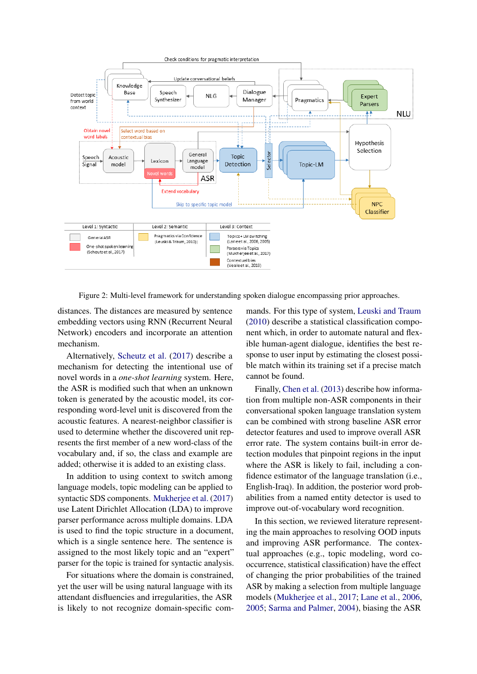<span id="page-2-0"></span>

Figure 2: Multi-level framework for understanding spoken dialogue encompassing prior approaches.

distances. The distances are measured by sentence embedding vectors using RNN (Recurrent Neural Network) encoders and incorporate an attention mechanism.

Alternatively, [Scheutz et al.](#page-9-5) [\(2017\)](#page-9-5) describe a mechanism for detecting the intentional use of novel words in a *one-shot learning* system. Here, the ASR is modified such that when an unknown token is generated by the acoustic model, its corresponding word-level unit is discovered from the acoustic features. A nearest-neighbor classifier is used to determine whether the discovered unit represents the first member of a new word-class of the vocabulary and, if so, the class and example are added; otherwise it is added to an existing class.

In addition to using context to switch among language models, topic modeling can be applied to syntactic SDS components. [Mukherjee et al.](#page-9-16) [\(2017\)](#page-9-16) use Latent Dirichlet Allocation (LDA) to improve parser performance across multiple domains. LDA is used to find the topic structure in a document, which is a single sentence here. The sentence is assigned to the most likely topic and an "expert" parser for the topic is trained for syntactic analysis.

For situations where the domain is constrained, yet the user will be using natural language with its attendant disfluencies and irregularities, the ASR is likely to not recognize domain-specific com-

mands. For this type of system, [Leuski and Traum](#page-9-17) [\(2010\)](#page-9-17) describe a statistical classification component which, in order to automate natural and flexible human-agent dialogue, identifies the best response to user input by estimating the closest possible match within its training set if a precise match cannot be found.

Finally, [Chen et al.](#page-8-3) [\(2013\)](#page-8-3) describe how information from multiple non-ASR components in their conversational spoken language translation system can be combined with strong baseline ASR error detector features and used to improve overall ASR error rate. The system contains built-in error detection modules that pinpoint regions in the input where the ASR is likely to fail, including a confidence estimator of the language translation (i.e., English-Iraq). In addition, the posterior word probabilities from a named entity detector is used to improve out-of-vocabulary word recognition.

In this section, we reviewed literature representing the main approaches to resolving OOD inputs and improving ASR performance. The contextual approaches (e.g., topic modeling, word cooccurrence, statistical classification) have the effect of changing the prior probabilities of the trained ASR by making a selection from multiple language models [\(Mukherjee et al.,](#page-9-16) [2017;](#page-9-16) [Lane et al.,](#page-9-14) [2006,](#page-9-14) [2005;](#page-9-8) [Sarma and Palmer,](#page-9-4) [2004\)](#page-9-4), biasing the ASR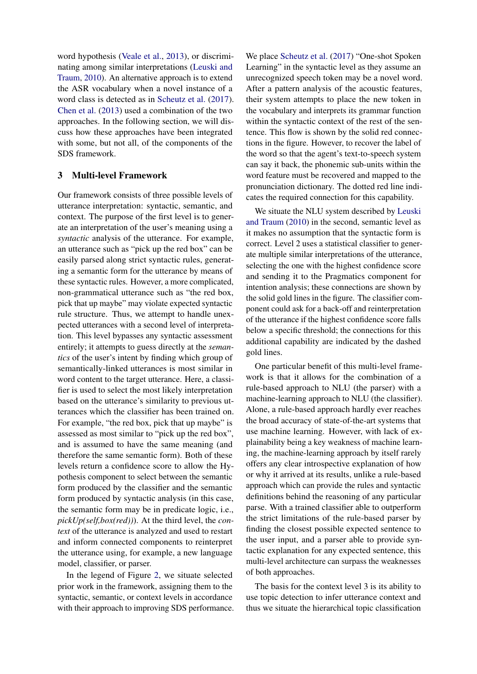word hypothesis [\(Veale et al.,](#page-9-13) [2013\)](#page-9-13), or discriminating among similar interpretations [\(Leuski and](#page-9-17) [Traum,](#page-9-17) [2010\)](#page-9-17). An alternative approach is to extend the ASR vocabulary when a novel instance of a word class is detected as in [Scheutz et al.](#page-9-5) [\(2017\)](#page-9-5). [Chen et al.](#page-8-3) [\(2013\)](#page-8-3) used a combination of the two approaches. In the following section, we will discuss how these approaches have been integrated with some, but not all, of the components of the SDS framework.

# <span id="page-3-0"></span>3 Multi-level Framework

Our framework consists of three possible levels of utterance interpretation: syntactic, semantic, and context. The purpose of the first level is to generate an interpretation of the user's meaning using a *syntactic* analysis of the utterance. For example, an utterance such as "pick up the red box" can be easily parsed along strict syntactic rules, generating a semantic form for the utterance by means of these syntactic rules. However, a more complicated, non-grammatical utterance such as "the red box, pick that up maybe" may violate expected syntactic rule structure. Thus, we attempt to handle unexpected utterances with a second level of interpretation. This level bypasses any syntactic assessment entirely; it attempts to guess directly at the *semantics* of the user's intent by finding which group of semantically-linked utterances is most similar in word content to the target utterance. Here, a classifier is used to select the most likely interpretation based on the utterance's similarity to previous utterances which the classifier has been trained on. For example, "the red box, pick that up maybe" is assessed as most similar to "pick up the red box", and is assumed to have the same meaning (and therefore the same semantic form). Both of these levels return a confidence score to allow the Hypothesis component to select between the semantic form produced by the classifier and the semantic form produced by syntactic analysis (in this case, the semantic form may be in predicate logic, i.e., *pickUp(self,box(red))*). At the third level, the *context* of the utterance is analyzed and used to restart and inform connected components to reinterpret the utterance using, for example, a new language model, classifier, or parser.

In the legend of Figure [2,](#page-2-0) we situate selected prior work in the framework, assigning them to the syntactic, semantic, or context levels in accordance with their approach to improving SDS performance. We place [Scheutz et al.](#page-9-5) [\(2017\)](#page-9-5) "One-shot Spoken Learning" in the syntactic level as they assume an unrecognized speech token may be a novel word. After a pattern analysis of the acoustic features, their system attempts to place the new token in the vocabulary and interprets its grammar function within the syntactic context of the rest of the sentence. This flow is shown by the solid red connections in the figure. However, to recover the label of the word so that the agent's text-to-speech system can say it back, the phonemic sub-units within the word feature must be recovered and mapped to the pronunciation dictionary. The dotted red line indicates the required connection for this capability.

We situate the NLU system described by [Leuski](#page-9-17) [and Traum](#page-9-17) [\(2010\)](#page-9-17) in the second, semantic level as it makes no assumption that the syntactic form is correct. Level 2 uses a statistical classifier to generate multiple similar interpretations of the utterance, selecting the one with the highest confidence score and sending it to the Pragmatics component for intention analysis; these connections are shown by the solid gold lines in the figure. The classifier component could ask for a back-off and reinterpretation of the utterance if the highest confidence score falls below a specific threshold; the connections for this additional capability are indicated by the dashed gold lines.

One particular benefit of this multi-level framework is that it allows for the combination of a rule-based approach to NLU (the parser) with a machine-learning approach to NLU (the classifier). Alone, a rule-based approach hardly ever reaches the broad accuracy of state-of-the-art systems that use machine learning. However, with lack of explainability being a key weakness of machine learning, the machine-learning approach by itself rarely offers any clear introspective explanation of how or why it arrived at its results, unlike a rule-based approach which can provide the rules and syntactic definitions behind the reasoning of any particular parse. With a trained classifier able to outperform the strict limitations of the rule-based parser by finding the closest possible expected sentence to the user input, and a parser able to provide syntactic explanation for any expected sentence, this multi-level architecture can surpass the weaknesses of both approaches.

The basis for the context level 3 is its ability to use topic detection to infer utterance context and thus we situate the hierarchical topic classification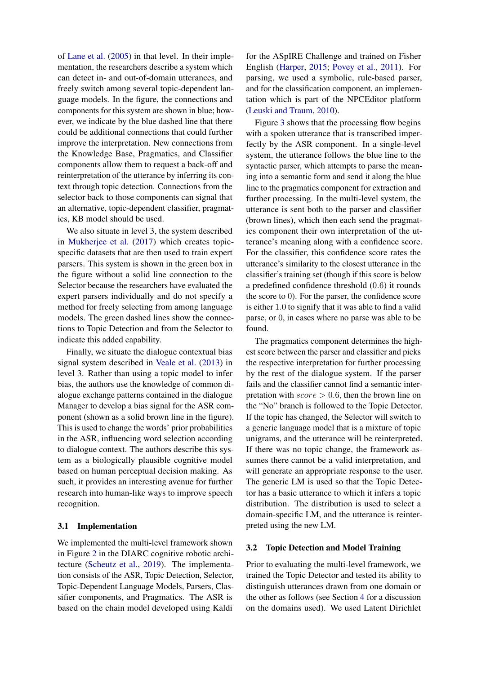of [Lane et al.](#page-9-8) [\(2005\)](#page-9-8) in that level. In their implementation, the researchers describe a system which can detect in- and out-of-domain utterances, and freely switch among several topic-dependent language models. In the figure, the connections and components for this system are shown in blue; however, we indicate by the blue dashed line that there could be additional connections that could further improve the interpretation. New connections from the Knowledge Base, Pragmatics, and Classifier components allow them to request a back-off and reinterpretation of the utterance by inferring its context through topic detection. Connections from the selector back to those components can signal that an alternative, topic-dependent classifier, pragmatics, KB model should be used.

We also situate in level 3, the system described in [Mukherjee et al.](#page-9-16) [\(2017\)](#page-9-16) which creates topicspecific datasets that are then used to train expert parsers. This system is shown in the green box in the figure without a solid line connection to the Selector because the researchers have evaluated the expert parsers individually and do not specify a method for freely selecting from among language models. The green dashed lines show the connections to Topic Detection and from the Selector to indicate this added capability.

Finally, we situate the dialogue contextual bias signal system described in [Veale et al.](#page-9-13) [\(2013\)](#page-9-13) in level 3. Rather than using a topic model to infer bias, the authors use the knowledge of common dialogue exchange patterns contained in the dialogue Manager to develop a bias signal for the ASR component (shown as a solid brown line in the figure). This is used to change the words' prior probabilities in the ASR, influencing word selection according to dialogue context. The authors describe this system as a biologically plausible cognitive model based on human perceptual decision making. As such, it provides an interesting avenue for further research into human-like ways to improve speech recognition.

#### 3.1 Implementation

We implemented the multi-level framework shown in Figure [2](#page-2-0) in the DIARC cognitive robotic architecture [\(Scheutz et al.,](#page-9-2) [2019\)](#page-9-2). The implementation consists of the ASR, Topic Detection, Selector, Topic-Dependent Language Models, Parsers, Classifier components, and Pragmatics. The ASR is based on the chain model developed using Kaldi

for the ASpIRE Challenge and trained on Fisher English [\(Harper,](#page-9-18) [2015;](#page-9-18) [Povey et al.,](#page-9-19) [2011\)](#page-9-19). For parsing, we used a symbolic, rule-based parser, and for the classification component, an implementation which is part of the NPCEditor platform [\(Leuski and Traum,](#page-9-17) [2010\)](#page-9-17).

Figure [3](#page-5-1) shows that the processing flow begins with a spoken utterance that is transcribed imperfectly by the ASR component. In a single-level system, the utterance follows the blue line to the syntactic parser, which attempts to parse the meaning into a semantic form and send it along the blue line to the pragmatics component for extraction and further processing. In the multi-level system, the utterance is sent both to the parser and classifier (brown lines), which then each send the pragmatics component their own interpretation of the utterance's meaning along with a confidence score. For the classifier, this confidence score rates the utterance's similarity to the closest utterance in the classifier's training set (though if this score is below a predefined confidence threshold (0.6) it rounds the score to 0). For the parser, the confidence score is either 1.0 to signify that it was able to find a valid parse, or 0, in cases where no parse was able to be found.

The pragmatics component determines the highest score between the parser and classifier and picks the respective interpretation for further processing by the rest of the dialogue system. If the parser fails and the classifier cannot find a semantic interpretation with  $score > 0.6$ , then the brown line on the "No" branch is followed to the Topic Detector. If the topic has changed, the Selector will switch to a generic language model that is a mixture of topic unigrams, and the utterance will be reinterpreted. If there was no topic change, the framework assumes there cannot be a valid interpretation, and will generate an appropriate response to the user. The generic LM is used so that the Topic Detector has a basic utterance to which it infers a topic distribution. The distribution is used to select a domain-specific LM, and the utterance is reinterpreted using the new LM.

#### 3.2 Topic Detection and Model Training

Prior to evaluating the multi-level framework, we trained the Topic Detector and tested its ability to distinguish utterances drawn from one domain or the other as follows (see Section [4](#page-5-0) for a discussion on the domains used). We used Latent Dirichlet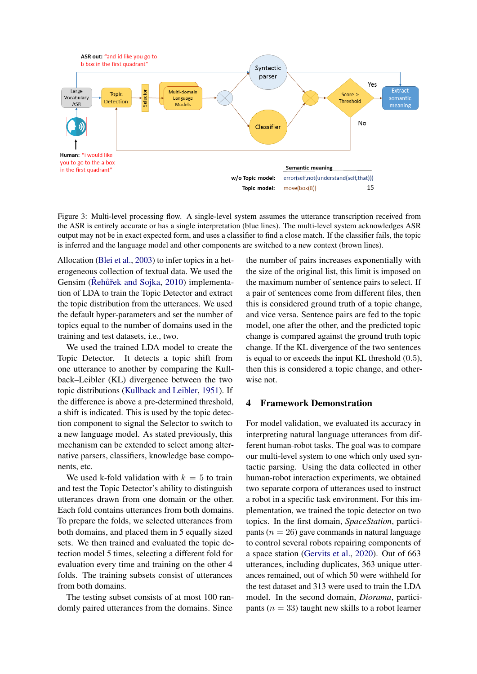<span id="page-5-1"></span>

Figure 3: Multi-level processing flow. A single-level system assumes the utterance transcription received from the ASR is entirely accurate or has a single interpretation (blue lines). The multi-level system acknowledges ASR output may not be in exact expected form, and uses a classifier to find a close match. If the classifier fails, the topic is inferred and the language model and other components are switched to a new context (brown lines).

Allocation [\(Blei et al.,](#page-8-4) [2003\)](#page-8-4) to infer topics in a heterogeneous collection of textual data. We used the Gensim (Rehůřek and Sojka, [2010\)](#page-9-20) implementation of LDA to train the Topic Detector and extract the topic distribution from the utterances. We used the default hyper-parameters and set the number of topics equal to the number of domains used in the training and test datasets, i.e., two.

We used the trained LDA model to create the Topic Detector. It detects a topic shift from one utterance to another by comparing the Kullback–Leibler (KL) divergence between the two topic distributions [\(Kullback and Leibler,](#page-9-21) [1951\)](#page-9-21). If the difference is above a pre-determined threshold, a shift is indicated. This is used by the topic detection component to signal the Selector to switch to a new language model. As stated previously, this mechanism can be extended to select among alternative parsers, classifiers, knowledge base components, etc.

We used k-fold validation with  $k = 5$  to train and test the Topic Detector's ability to distinguish utterances drawn from one domain or the other. Each fold contains utterances from both domains. To prepare the folds, we selected utterances from both domains, and placed them in 5 equally sized sets. We then trained and evaluated the topic detection model 5 times, selecting a different fold for evaluation every time and training on the other 4 folds. The training subsets consist of utterances from both domains.

The testing subset consists of at most 100 randomly paired utterances from the domains. Since the number of pairs increases exponentially with the size of the original list, this limit is imposed on the maximum number of sentence pairs to select. If a pair of sentences come from different files, then this is considered ground truth of a topic change, and vice versa. Sentence pairs are fed to the topic model, one after the other, and the predicted topic change is compared against the ground truth topic change. If the KL divergence of the two sentences is equal to or exceeds the input KL threshold (0.5), then this is considered a topic change, and otherwise not.

### <span id="page-5-0"></span>4 Framework Demonstration

For model validation, we evaluated its accuracy in interpreting natural language utterances from different human-robot tasks. The goal was to compare our multi-level system to one which only used syntactic parsing. Using the data collected in other human-robot interaction experiments, we obtained two separate corpora of utterances used to instruct a robot in a specific task environment. For this implementation, we trained the topic detector on two topics. In the first domain, *SpaceStation*, participants ( $n = 26$ ) gave commands in natural language to control several robots repairing components of a space station [\(Gervits et al.,](#page-8-5) [2020\)](#page-8-5). Out of 663 utterances, including duplicates, 363 unique utterances remained, out of which 50 were withheld for the test dataset and 313 were used to train the LDA model. In the second domain, *Diorama*, participants ( $n = 33$ ) taught new skills to a robot learner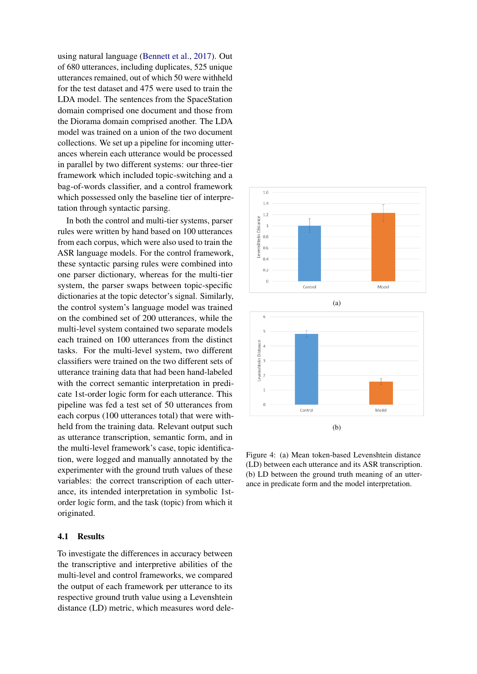using natural language [\(Bennett et al.,](#page-8-6) [2017\)](#page-8-6). Out of 680 utterances, including duplicates, 525 unique utterances remained, out of which 50 were withheld for the test dataset and 475 were used to train the LDA model. The sentences from the SpaceStation domain comprised one document and those from the Diorama domain comprised another. The LDA model was trained on a union of the two document collections. We set up a pipeline for incoming utterances wherein each utterance would be processed in parallel by two different systems: our three-tier framework which included topic-switching and a bag-of-words classifier, and a control framework which possessed only the baseline tier of interpretation through syntactic parsing.

In both the control and multi-tier systems, parser rules were written by hand based on 100 utterances from each corpus, which were also used to train the ASR language models. For the control framework, these syntactic parsing rules were combined into one parser dictionary, whereas for the multi-tier system, the parser swaps between topic-specific dictionaries at the topic detector's signal. Similarly, the control system's language model was trained on the combined set of 200 utterances, while the multi-level system contained two separate models each trained on 100 utterances from the distinct tasks. For the multi-level system, two different classifiers were trained on the two different sets of utterance training data that had been hand-labeled with the correct semantic interpretation in predicate 1st-order logic form for each utterance. This pipeline was fed a test set of 50 utterances from each corpus (100 utterances total) that were withheld from the training data. Relevant output such as utterance transcription, semantic form, and in the multi-level framework's case, topic identification, were logged and manually annotated by the experimenter with the ground truth values of these variables: the correct transcription of each utterance, its intended interpretation in symbolic 1storder logic form, and the task (topic) from which it originated.

#### 4.1 Results

To investigate the differences in accuracy between the transcriptive and interpretive abilities of the multi-level and control frameworks, we compared the output of each framework per utterance to its respective ground truth value using a Levenshtein distance (LD) metric, which measures word dele-

<span id="page-6-0"></span>

Figure 4: (a) Mean token-based Levenshtein distance (LD) between each utterance and its ASR transcription. (b) LD between the ground truth meaning of an utterance in predicate form and the model interpretation.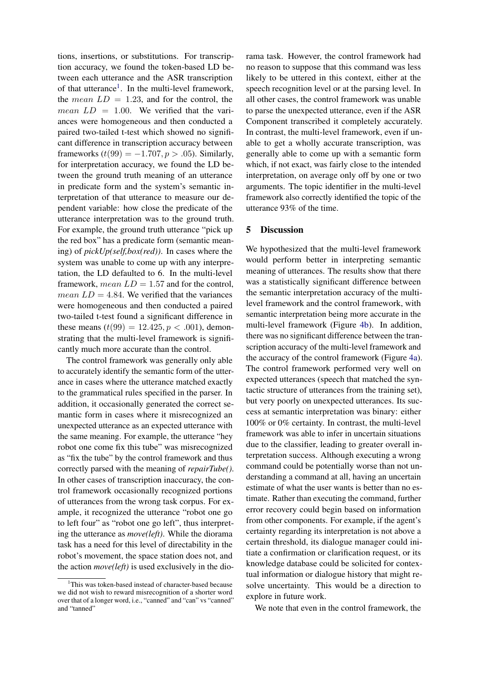tions, insertions, or substitutions. For transcription accuracy, we found the token-based LD between each utterance and the ASR transcription of that utterance<sup>[1](#page-7-1)</sup>. In the multi-level framework, the *mean*  $LD = 1.23$ , and for the control, the *mean*  $LD = 1.00$ . We verified that the variances were homogeneous and then conducted a paired two-tailed t-test which showed no significant difference in transcription accuracy between frameworks  $(t(99) = -1.707, p > .05)$ . Similarly, for interpretation accuracy, we found the LD between the ground truth meaning of an utterance in predicate form and the system's semantic interpretation of that utterance to measure our dependent variable: how close the predicate of the utterance interpretation was to the ground truth. For example, the ground truth utterance "pick up the red box" has a predicate form (semantic meaning) of *pickUp(self,box(red))*. In cases where the system was unable to come up with any interpretation, the LD defaulted to 6. In the multi-level framework, mean  $LD = 1.57$  and for the control, *mean*  $LD = 4.84$ . We verified that the variances were homogeneous and then conducted a paired two-tailed t-test found a significant difference in these means  $(t(99) = 12.425, p < .001)$ , demonstrating that the multi-level framework is significantly much more accurate than the control.

The control framework was generally only able to accurately identify the semantic form of the utterance in cases where the utterance matched exactly to the grammatical rules specified in the parser. In addition, it occasionally generated the correct semantic form in cases where it misrecognized an unexpected utterance as an expected utterance with the same meaning. For example, the utterance "hey robot one come fix this tube" was misrecognized as "fix the tube" by the control framework and thus correctly parsed with the meaning of *repairTube()*. In other cases of transcription inaccuracy, the control framework occasionally recognized portions of utterances from the wrong task corpus. For example, it recognized the utterance "robot one go to left four" as "robot one go left", thus interpreting the utterance as *move(left)*. While the diorama task has a need for this level of directability in the robot's movement, the space station does not, and the action *move(left)* is used exclusively in the diorama task. However, the control framework had no reason to suppose that this command was less likely to be uttered in this context, either at the speech recognition level or at the parsing level. In all other cases, the control framework was unable to parse the unexpected utterance, even if the ASR Component transcribed it completely accurately. In contrast, the multi-level framework, even if unable to get a wholly accurate transcription, was generally able to come up with a semantic form which, if not exact, was fairly close to the intended interpretation, on average only off by one or two arguments. The topic identifier in the multi-level framework also correctly identified the topic of the utterance 93% of the time.

### <span id="page-7-0"></span>5 Discussion

We hypothesized that the multi-level framework would perform better in interpreting semantic meaning of utterances. The results show that there was a statistically significant difference between the semantic interpretation accuracy of the multilevel framework and the control framework, with semantic interpretation being more accurate in the multi-level framework (Figure [4b\)](#page-6-0). In addition, there was no significant difference between the transcription accuracy of the multi-level framework and the accuracy of the control framework (Figure [4a\)](#page-6-0). The control framework performed very well on expected utterances (speech that matched the syntactic structure of utterances from the training set), but very poorly on unexpected utterances. Its success at semantic interpretation was binary: either 100% or 0% certainty. In contrast, the multi-level framework was able to infer in uncertain situations due to the classifier, leading to greater overall interpretation success. Although executing a wrong command could be potentially worse than not understanding a command at all, having an uncertain estimate of what the user wants is better than no estimate. Rather than executing the command, further error recovery could begin based on information from other components. For example, if the agent's certainty regarding its interpretation is not above a certain threshold, its dialogue manager could initiate a confirmation or clarification request, or its knowledge database could be solicited for contextual information or dialogue history that might resolve uncertainty. This would be a direction to explore in future work.

We note that even in the control framework, the

<span id="page-7-1"></span><sup>&</sup>lt;sup>1</sup>This was token-based instead of character-based because we did not wish to reward misrecognition of a shorter word over that of a longer word, i.e., "canned" and "can" vs "canned" and "tanned"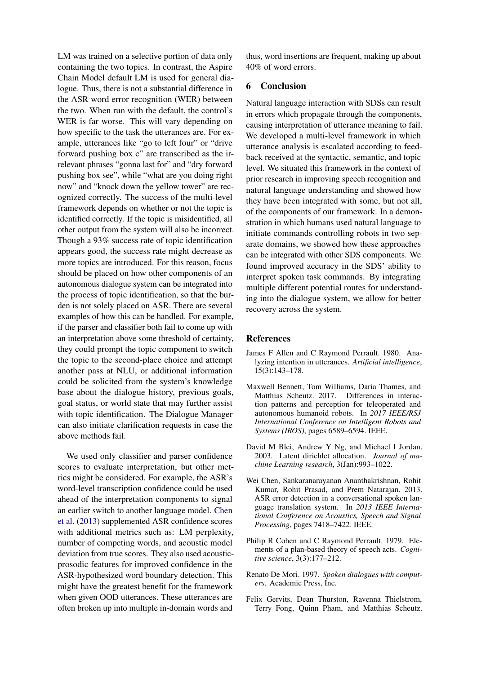LM was trained on a selective portion of data only containing the two topics. In contrast, the Aspire Chain Model default LM is used for general dialogue. Thus, there is not a substantial difference in the ASR word error recognition (WER) between the two. When run with the default, the control's WER is far worse. This will vary depending on how specific to the task the utterances are. For example, utterances like "go to left four" or "drive forward pushing box c" are transcribed as the irrelevant phrases "gonna last for" and "dry forward pushing box see", while "what are you doing right now" and "knock down the yellow tower" are recognized correctly. The success of the multi-level framework depends on whether or not the topic is identified correctly. If the topic is misidentified, all other output from the system will also be incorrect. Though a 93% success rate of topic identification appears good, the success rate might decrease as more topics are introduced. For this reason, focus should be placed on how other components of an autonomous dialogue system can be integrated into the process of topic identification, so that the burden is not solely placed on ASR. There are several examples of how this can be handled. For example, if the parser and classifier both fail to come up with an interpretation above some threshold of certainty, they could prompt the topic component to switch the topic to the second-place choice and attempt another pass at NLU, or additional information could be solicited from the system's knowledge base about the dialogue history, previous goals, goal status, or world state that may further assist with topic identification. The Dialogue Manager can also initiate clarification requests in case the above methods fail.

We used only classifier and parser confidence scores to evaluate interpretation, but other metrics might be considered. For example, the ASR's word-level transcription confidence could be used ahead of the interpretation components to signal an earlier switch to another language model. [Chen](#page-8-3) [et al.](#page-8-3) [\(2013\)](#page-8-3) supplemented ASR confidence scores with additional metrics such as: LM perplexity, number of competing words, and acoustic model deviation from true scores. They also used acousticprosodic features for improved confidence in the ASR-hypothesized word boundary detection. This might have the greatest benefit for the framework when given OOD utterances. These utterances are often broken up into multiple in-domain words and

thus, word insertions are frequent, making up about 40% of word errors.

# 6 Conclusion

Natural language interaction with SDSs can result in errors which propagate through the components, causing interpretation of utterance meaning to fail. We developed a multi-level framework in which utterance analysis is escalated according to feedback received at the syntactic, semantic, and topic level. We situated this framework in the context of prior research in improving speech recognition and natural language understanding and showed how they have been integrated with some, but not all, of the components of our framework. In a demonstration in which humans used natural language to initiate commands controlling robots in two separate domains, we showed how these approaches can be integrated with other SDS components. We found improved accuracy in the SDS' ability to interpret spoken task commands. By integrating multiple different potential routes for understanding into the dialogue system, we allow for better recovery across the system.

#### References

- <span id="page-8-1"></span>James F Allen and C Raymond Perrault. 1980. Analyzing intention in utterances. *Artificial intelligence*, 15(3):143–178.
- <span id="page-8-6"></span>Maxwell Bennett, Tom Williams, Daria Thames, and Matthias Scheutz. 2017. Differences in interaction patterns and perception for teleoperated and autonomous humanoid robots. In *2017 IEEE/RSJ International Conference on Intelligent Robots and Systems (IROS)*, pages 6589–6594. IEEE.
- <span id="page-8-4"></span>David M Blei, Andrew Y Ng, and Michael I Jordan. 2003. Latent dirichlet allocation. *Journal of machine Learning research*, 3(Jan):993–1022.
- <span id="page-8-3"></span>Wei Chen, Sankaranarayanan Ananthakrishnan, Rohit Kumar, Rohit Prasad, and Prem Natarajan. 2013. ASR error detection in a conversational spoken language translation system. In *2013 IEEE International Conference on Acoustics, Speech and Signal Processing*, pages 7418–7422. IEEE.
- <span id="page-8-2"></span>Philip R Cohen and C Raymond Perrault. 1979. Elements of a plan-based theory of speech acts. *Cognitive science*, 3(3):177–212.
- <span id="page-8-0"></span>Renato De Mori. 1997. *Spoken dialogues with computers*. Academic Press, Inc.
- <span id="page-8-5"></span>Felix Gervits, Dean Thurston, Ravenna Thielstrom, Terry Fong, Quinn Pham, and Matthias Scheutz.